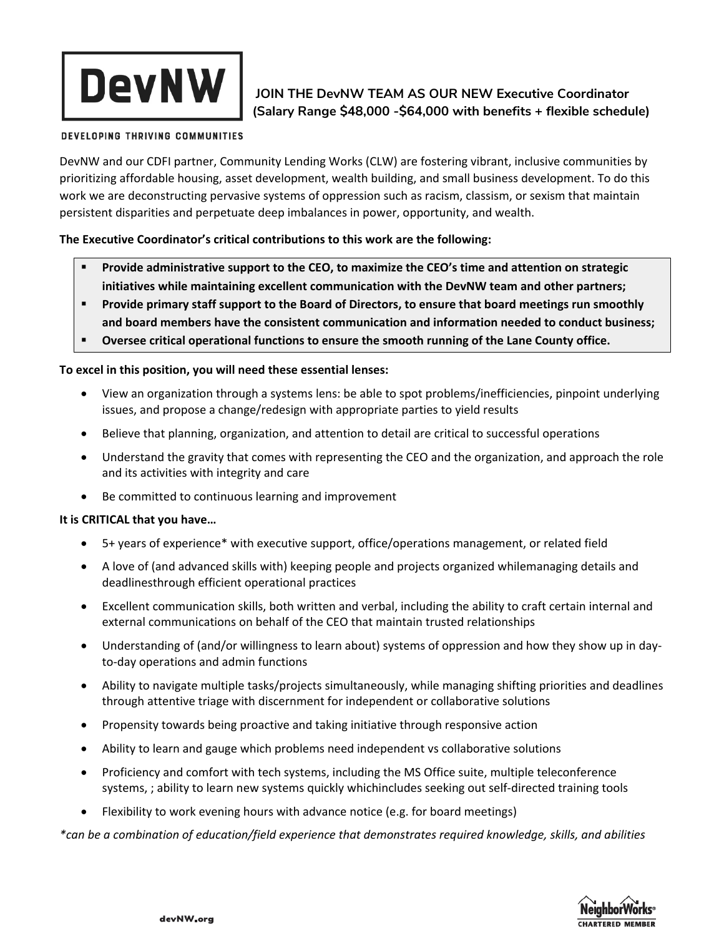# **DevNW**

# **JOIN THE DevNW TEAM AS OUR NEW Executive Coordinator (Salary Range \$48,000 -\$64,000 with benefits + flexible schedule)**

### DEVELOPING THRIVING COMMUNITIES

DevNW and our CDFI partner, Community Lending Works (CLW) are fostering vibrant, inclusive communities by prioritizing affordable housing, asset development, wealth building, and small business development. To do this work we are deconstructing pervasive systems of oppression such as racism, classism, or sexism that maintain persistent disparities and perpetuate deep imbalances in power, opportunity, and wealth.

# **The Executive Coordinator's critical contributions to this work are the following:**

- **Provide administrative support to the CEO, to maximize the CEO's time and attention on strategic initiatives while maintaining excellent communication with the DevNW team and other partners;**
- **Provide primary staff support to the Board of Directors, to ensure that board meetings run smoothly and board members have the consistent communication and information needed to conduct business;**
- **Oversee critical operational functions to ensure the smooth running of the Lane County office.**

# **To excel in this position, you will need these essential lenses:**

- View an organization through a systems lens: be able to spot problems/inefficiencies, pinpoint underlying issues, and propose a change/redesign with appropriate parties to yield results
- Believe that planning, organization, and attention to detail are critical to successful operations
- Understand the gravity that comes with representing the CEO and the organization, and approach the role and its activities with integrity and care
- Be committed to continuous learning and improvement

## **It is CRITICAL that you have…**

- 5+ years of experience\* with executive support, office/operations management, or related field
- A love of (and advanced skills with) keeping people and projects organized whilemanaging details and deadlinesthrough efficient operational practices
- Excellent communication skills, both written and verbal, including the ability to craft certain internal and external communications on behalf of the CEO that maintain trusted relationships
- Understanding of (and/or willingness to learn about) systems of oppression and how they show up in dayto-day operations and admin functions
- Ability to navigate multiple tasks/projects simultaneously, while managing shifting priorities and deadlines through attentive triage with discernment for independent or collaborative solutions
- Propensity towards being proactive and taking initiative through responsive action
- Ability to learn and gauge which problems need independent vs collaborative solutions
- Proficiency and comfort with tech systems, including the MS Office suite, multiple teleconference systems, ; ability to learn new systems quickly whichincludes seeking out self-directed training tools
- Flexibility to work evening hours with advance notice (e.g. for board meetings)

*\*can be a combination of education/field experience that demonstrates required knowledge, skills, and abilities*